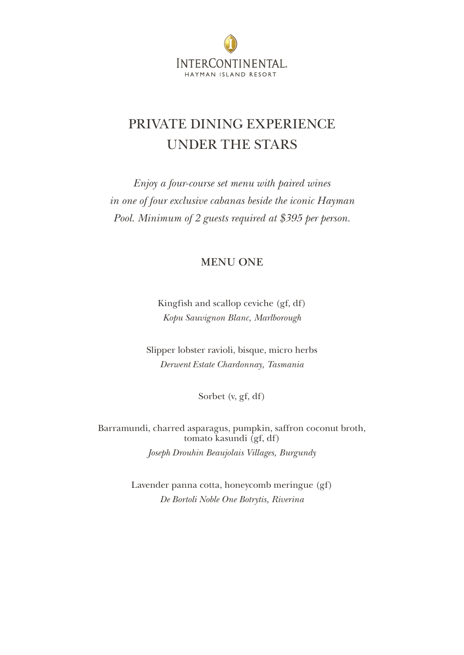

## PRIVATE DINING EXPERIENCE UNDER THE STARS

*Enjoy a four-course set menu with paired wines in one of four exclusive cabanas beside the iconic Hayman Pool. Minimum of 2 guests required at \$3*95 *per person.* 

#### **MENU ONE**

Kingfish and scallop ceviche (gf, df) *Kopu Sauvignon Blanc, Marlborough*

Slipper lobster ravioli, bisque, micro herbs *Derwent Estate Chardonnay, Tasmania*

Sorbet (v, gf, df)

Barramundi, charred asparagus, pumpkin, saffron coconut broth, tomato kasundi (gf, df) *Joseph Drouhin Beaujolais Villages, Burgundy*

> Lavender panna cotta, honeycomb meringue (gf) *De Bortoli Noble One Botrytis, Riverina*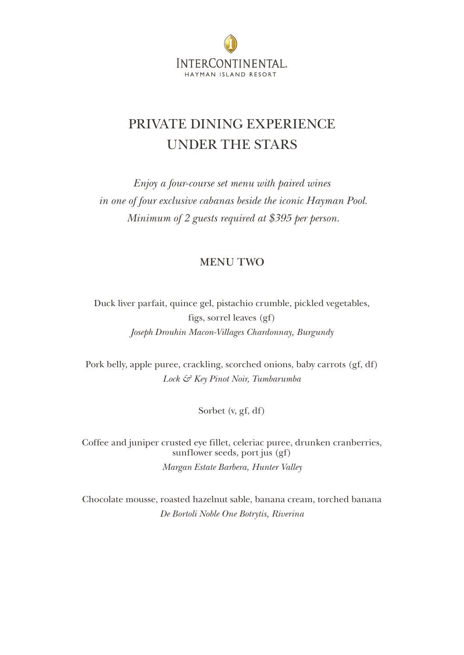

## PRIVATE DINING EXPERIENCE UNDER THE STARS

*Enjoy a four-course set menu with paired wines in one of four exclusive cabanas beside the iconic Hayman Pool. Minimum of 2 guests required at \$3*95 *per person.* 

#### **MENU TWO**

Duck liver parfait, quince gel, pistachio crumble, pickled vegetables, figs, sorrel leaves (gf) *Joseph Drouhin Macon-Villages Chardonnay, Burgundy*

Pork belly, apple puree, crackling, scorched onions, baby carrots (gf, df) *Lock & Key Pinot Noir, Tumbarumba*

Sorbet (v, gf, df)

Coffee and juniper crusted eye fillet, celeriac puree, drunken cranberries, sunflower seeds, port jus (gf) *Margan Estate Barbera, Hunter Valley*

Chocolate mousse, roasted hazelnut sable, banana cream, torched banana *De Bortoli Noble One Botrytis, Riverina*